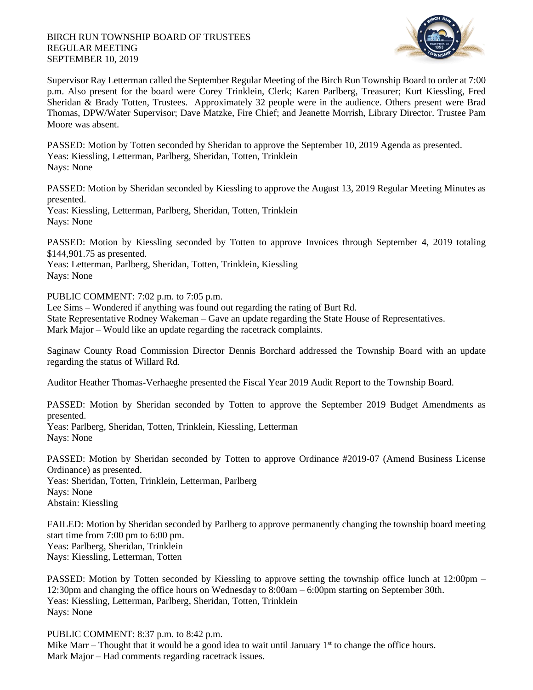## BIRCH RUN TOWNSHIP BOARD OF TRUSTEES REGULAR MEETING SEPTEMBER 10, 2019



Supervisor Ray Letterman called the September Regular Meeting of the Birch Run Township Board to order at 7:00 p.m. Also present for the board were Corey Trinklein, Clerk; Karen Parlberg, Treasurer; Kurt Kiessling, Fred Sheridan & Brady Totten, Trustees. Approximately 32 people were in the audience. Others present were Brad Thomas, DPW/Water Supervisor; Dave Matzke, Fire Chief; and Jeanette Morrish, Library Director. Trustee Pam Moore was absent.

PASSED: Motion by Totten seconded by Sheridan to approve the September 10, 2019 Agenda as presented. Yeas: Kiessling, Letterman, Parlberg, Sheridan, Totten, Trinklein Nays: None

PASSED: Motion by Sheridan seconded by Kiessling to approve the August 13, 2019 Regular Meeting Minutes as presented.

Yeas: Kiessling, Letterman, Parlberg, Sheridan, Totten, Trinklein Nays: None

PASSED: Motion by Kiessling seconded by Totten to approve Invoices through September 4, 2019 totaling \$144,901.75 as presented.

Yeas: Letterman, Parlberg, Sheridan, Totten, Trinklein, Kiessling Nays: None

PUBLIC COMMENT: 7:02 p.m. to 7:05 p.m.

Lee Sims – Wondered if anything was found out regarding the rating of Burt Rd. State Representative Rodney Wakeman – Gave an update regarding the State House of Representatives. Mark Major – Would like an update regarding the racetrack complaints.

Saginaw County Road Commission Director Dennis Borchard addressed the Township Board with an update regarding the status of Willard Rd.

Auditor Heather Thomas-Verhaeghe presented the Fiscal Year 2019 Audit Report to the Township Board.

PASSED: Motion by Sheridan seconded by Totten to approve the September 2019 Budget Amendments as presented.

Yeas: Parlberg, Sheridan, Totten, Trinklein, Kiessling, Letterman Nays: None

PASSED: Motion by Sheridan seconded by Totten to approve Ordinance #2019-07 (Amend Business License Ordinance) as presented.

Yeas: Sheridan, Totten, Trinklein, Letterman, Parlberg Nays: None Abstain: Kiessling

FAILED: Motion by Sheridan seconded by Parlberg to approve permanently changing the township board meeting start time from 7:00 pm to 6:00 pm. Yeas: Parlberg, Sheridan, Trinklein Nays: Kiessling, Letterman, Totten

PASSED: Motion by Totten seconded by Kiessling to approve setting the township office lunch at 12:00pm – 12:30pm and changing the office hours on Wednesday to 8:00am – 6:00pm starting on September 30th. Yeas: Kiessling, Letterman, Parlberg, Sheridan, Totten, Trinklein Nays: None

PUBLIC COMMENT: 8:37 p.m. to 8:42 p.m.

Mike Marr – Thought that it would be a good idea to wait until January  $1<sup>st</sup>$  to change the office hours. Mark Major – Had comments regarding racetrack issues.